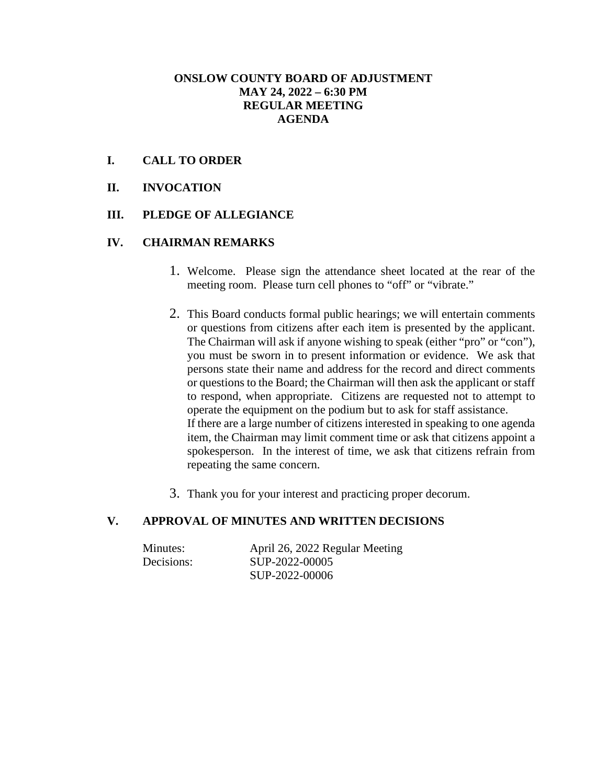#### **ONSLOW COUNTY BOARD OF ADJUSTMENT MAY 24, 2022 – 6:30 PM REGULAR MEETING AGENDA**

## **I. CALL TO ORDER**

**II. INVOCATION**

#### **III. PLEDGE OF ALLEGIANCE**

#### **IV. CHAIRMAN REMARKS**

- 1. Welcome. Please sign the attendance sheet located at the rear of the meeting room. Please turn cell phones to "off" or "vibrate."
- 2. This Board conducts formal public hearings; we will entertain comments or questions from citizens after each item is presented by the applicant. The Chairman will ask if anyone wishing to speak (either "pro" or "con"), you must be sworn in to present information or evidence. We ask that persons state their name and address for the record and direct comments or questions to the Board; the Chairman will then ask the applicant or staff to respond, when appropriate. Citizens are requested not to attempt to operate the equipment on the podium but to ask for staff assistance. If there are a large number of citizens interested in speaking to one agenda item, the Chairman may limit comment time or ask that citizens appoint a spokesperson. In the interest of time, we ask that citizens refrain from repeating the same concern.
- 3. Thank you for your interest and practicing proper decorum.

# **V. APPROVAL OF MINUTES AND WRITTEN DECISIONS**

| Minutes:   | April 26, 2022 Regular Meeting |
|------------|--------------------------------|
| Decisions: | SUP-2022-00005                 |
|            | SUP-2022-00006                 |